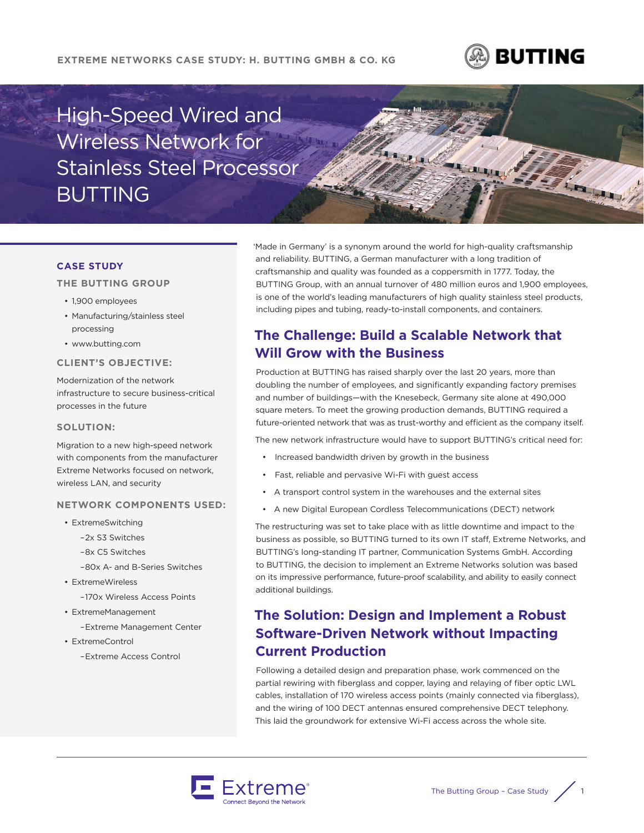### **EXTREME NETWORKS CASE STUDY: H. BUTTING GMBH & CO. KG**



LE LE LE

# High-Speed Wired and Wireless Network for Stainless Steel Processor BUTTING

### **CASE STUDY**

### **THE BUTTING GROUP**

- 1,900 employees
- Manufacturing/stainless steel processing
- www.butting.com

#### **CLIENT'S OBJECTIVE:**

Modernization of the network infrastructure to secure business-critical processes in the future

#### **SOLUTION:**

Migration to a new high-speed network with components from the manufacturer Extreme Networks focused on network, wireless LAN, and security

#### **NETWORK COMPONENTS USED:**

- ExtremeSwitching
	- –2x S3 Switches
	- –8x C5 Switches
	- –80x A- and B-Series Switches
- ExtremeWireless

–170x Wireless Access Points

- ExtremeManagement
	- –Extreme Management Center
- ExtremeControl

–Extreme Access Control

'Made in Germany' is a synonym around the world for high-quality craftsmanship and reliability. BUTTING, a German manufacturer with a long tradition of craftsmanship and quality was founded as a coppersmith in 1777. Today, the BUTTING Group, with an annual turnover of 480 million euros and 1,900 employees, is one of the world's leading manufacturers of high quality stainless steel products, including pipes and tubing, ready-to-install components, and containers.

# **The Challenge: Build a Scalable Network that Will Grow with the Business**

Production at BUTTING has raised sharply over the last 20 years, more than doubling the number of employees, and significantly expanding factory premises and number of buildings—with the Knesebeck, Germany site alone at 490,000 square meters. To meet the growing production demands, BUTTING required a future-oriented network that was as trust-worthy and efficient as the company itself.

The new network infrastructure would have to support BUTTING's critical need for:

- Increased bandwidth driven by growth in the business
- Fast, reliable and pervasive Wi-Fi with guest access
- A transport control system in the warehouses and the external sites
- A new Digital European Cordless Telecommunications (DECT) network

The restructuring was set to take place with as little downtime and impact to the business as possible, so BUTTING turned to its own IT staff, Extreme Networks, and BUTTING's long-standing IT partner, Communication Systems GmbH. According to BUTTING, the decision to implement an Extreme Networks solution was based on its impressive performance, future-proof scalability, and ability to easily connect additional buildings.

# **The Solution: Design and Implement a Robust Software-Driven Network without Impacting Current Production**

Following a detailed design and preparation phase, work commenced on the partial rewiring with fiberglass and copper, laying and relaying of fiber optic LWL cables, installation of 170 wireless access points (mainly connected via fiberglass), and the wiring of 100 DECT antennas ensured comprehensive DECT telephony. This laid the groundwork for extensive Wi-Fi access across the whole site.

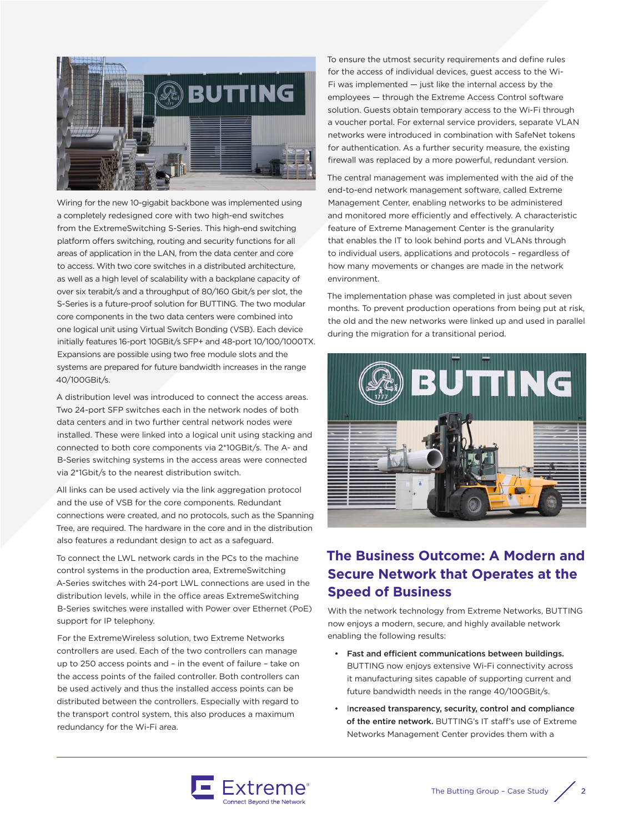

Wiring for the new 10-gigabit backbone was implemented using a completely redesigned core with two high-end switches from the ExtremeSwitching S-Series. This high-end switching platform offers switching, routing and security functions for all areas of application in the LAN, from the data center and core to access. With two core switches in a distributed architecture, as well as a high level of scalability with a backplane capacity of over six terabit/s and a throughput of 80/160 Gbit/s per slot, the S-Series is a future-proof solution for BUTTING. The two modular core components in the two data centers were combined into one logical unit using Virtual Switch Bonding (VSB). Each device initially features 16-port 10GBit/s SFP+ and 48-port 10/100/1000TX. Expansions are possible using two free module slots and the systems are prepared for future bandwidth increases in the range 40/100GBit/s.

A distribution level was introduced to connect the access areas. Two 24-port SFP switches each in the network nodes of both data centers and in two further central network nodes were installed. These were linked into a logical unit using stacking and connected to both core components via 2\*10GBit/s. The A- and B-Series switching systems in the access areas were connected via 2\*1Gbit/s to the nearest distribution switch.

All links can be used actively via the link aggregation protocol and the use of VSB for the core components. Redundant connections were created, and no protocols, such as the Spanning Tree, are required. The hardware in the core and in the distribution also features a redundant design to act as a safeguard.

To connect the LWL network cards in the PCs to the machine control systems in the production area, ExtremeSwitching A-Series switches with 24-port LWL connections are used in the distribution levels, while in the office areas ExtremeSwitching B-Series switches were installed with Power over Ethernet (PoE) support for IP telephony.

For the ExtremeWireless solution, two Extreme Networks controllers are used. Each of the two controllers can manage up to 250 access points and – in the event of failure – take on the access points of the failed controller. Both controllers can be used actively and thus the installed access points can be distributed between the controllers. Especially with regard to the transport control system, this also produces a maximum redundancy for the Wi-Fi area.

To ensure the utmost security requirements and define rules for the access of individual devices, guest access to the Wi-Fi was implemented  $-$  just like the internal access by the employees — through the Extreme Access Control software solution. Guests obtain temporary access to the Wi-Fi through a voucher portal. For external service providers, separate VLAN networks were introduced in combination with SafeNet tokens for authentication. As a further security measure, the existing firewall was replaced by a more powerful, redundant version.

The central management was implemented with the aid of the end-to-end network management software, called Extreme Management Center, enabling networks to be administered and monitored more efficiently and effectively. A characteristic feature of Extreme Management Center is the granularity that enables the IT to look behind ports and VLANs through to individual users, applications and protocols – regardless of how many movements or changes are made in the network environment.

The implementation phase was completed in just about seven months. To prevent production operations from being put at risk, the old and the new networks were linked up and used in parallel during the migration for a transitional period.



## **The Business Outcome: A Modern and Secure Network that Operates at the Speed of Business**

With the network technology from Extreme Networks, BUTTING now enjoys a modern, secure, and highly available network enabling the following results:

- Fast and efficient communications between buildings. BUTTING now enjoys extensive Wi-Fi connectivity across it manufacturing sites capable of supporting current and future bandwidth needs in the range 40/100GBit/s.
- Increased transparency, security, control and compliance of the entire network. BUTTING's IT staff's use of Extreme Networks Management Center provides them with a